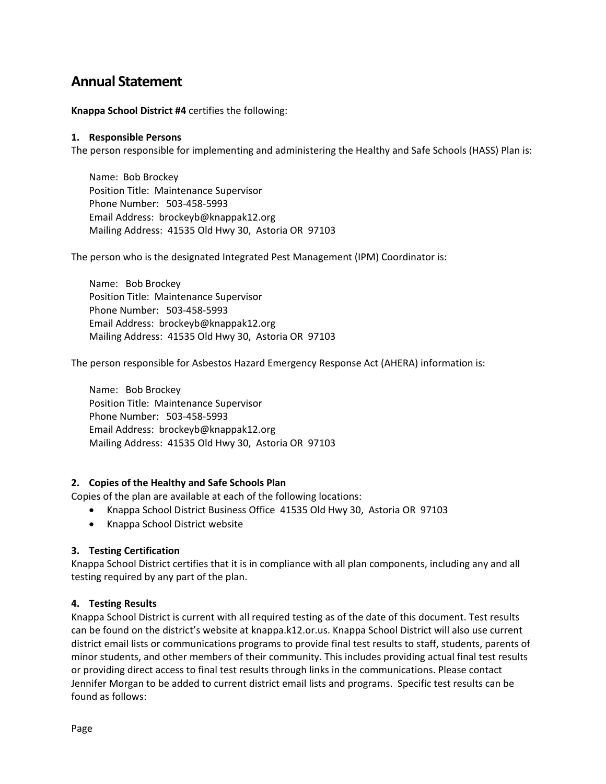# **Annual Statement**

**Knappa School District #4** certifies the following:

#### **1. Responsible Persons**

The person responsible for implementing and administering the Healthy and Safe Schools (HASS) Plan is:

Name: Bob Brockey Position Title: Maintenance Supervisor Phone Number: 503-458-5993 Email Address: brockeyb@knappak12.org Mailing Address: 41535 Old Hwy 30, Astoria OR 97103

The person who is the designated Integrated Pest Management (IPM) Coordinator is:

Name: Bob Brockey Position Title: Maintenance Supervisor Phone Number: 503-458-5993 Email Address: brockeyb@knappak12.org Mailing Address: 41535 Old Hwy 30, Astoria OR 97103

The person responsible for Asbestos Hazard Emergency Response Act (AHERA) information is:

Name: Bob Brockey Position Title: Maintenance Supervisor Phone Number: 503-458-5993 Email Address: brockeyb@knappak12.org Mailing Address: 41535 Old Hwy 30, Astoria OR 97103

#### **2. Copies of the Healthy and Safe Schools Plan**

Copies of the plan are available at each of the following locations:

- Knappa School District Business Office 41535 Old Hwy 30, Astoria OR 97103
- Knappa School District website

#### **3. Testing Certification**

Knappa School District certifies that it is in compliance with all plan components, including any and all testing required by any part of the plan.

#### **4. Testing Results**

Knappa School District is current with all required testing as of the date of this document. Test results can be found on the district's website at knappa.k12.or.us. Knappa School District will also use current district email lists or communications programs to provide final test results to staff, students, parents of minor students, and other members of their community. This includes providing actual final test results or providing direct access to final test results through links in the communications. Please contact Jennifer Morgan to be added to current district email lists and programs. Specific test results can be found as follows: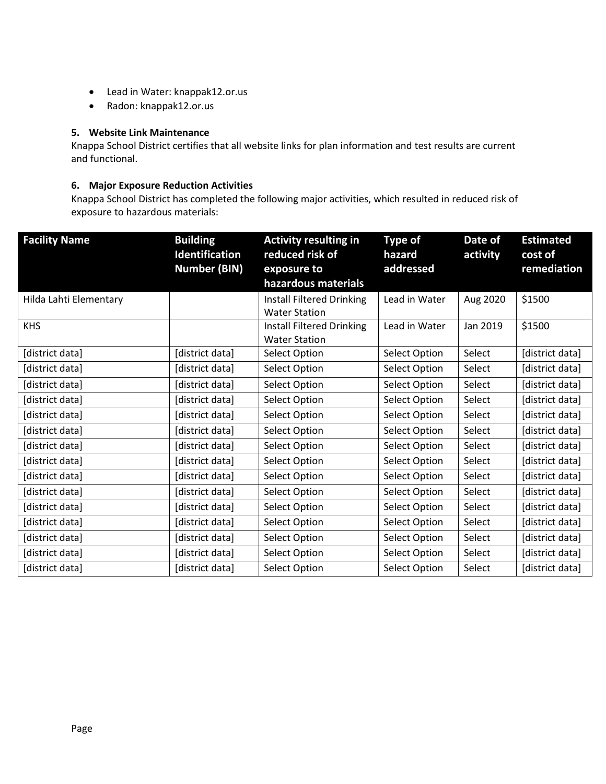- Lead in Water: knappak12.or.us
- Radon: knappak12.or.us

### **5. Website Link Maintenance**

Knappa School District certifies that all website links for plan information and test results are current and functional.

#### **6. Major Exposure Reduction Activities**

Knappa School District has completed the following major activities, which resulted in reduced risk of exposure to hazardous materials:

| <b>Facility Name</b>   | <b>Building</b><br><b>Identification</b> | <b>Activity resulting in</b><br>reduced risk of | <b>Type of</b><br>hazard | Date of<br>activity | <b>Estimated</b><br>cost of |
|------------------------|------------------------------------------|-------------------------------------------------|--------------------------|---------------------|-----------------------------|
|                        | <b>Number (BIN)</b>                      | exposure to                                     | addressed                |                     | remediation                 |
|                        |                                          | hazardous materials                             |                          |                     |                             |
| Hilda Lahti Elementary |                                          | <b>Install Filtered Drinking</b>                | Lead in Water            | Aug 2020            | \$1500                      |
|                        |                                          | <b>Water Station</b>                            |                          |                     |                             |
| <b>KHS</b>             |                                          | <b>Install Filtered Drinking</b>                | Lead in Water            | Jan 2019            | \$1500                      |
|                        |                                          | <b>Water Station</b>                            |                          |                     |                             |
| [district data]        | [district data]                          | Select Option                                   | <b>Select Option</b>     | Select              | [district data]             |
| [district data]        | [district data]                          | Select Option                                   | Select Option            | Select              | [district data]             |
| [district data]        | [district data]                          | Select Option                                   | Select Option            | Select              | [district data]             |
| [district data]        | [district data]                          | <b>Select Option</b>                            | Select Option            | Select              | [district data]             |
| [district data]        | [district data]                          | Select Option                                   | <b>Select Option</b>     | Select              | [district data]             |
| [district data]        | [district data]                          | <b>Select Option</b>                            | Select Option            | Select              | [district data]             |
| [district data]        | [district data]                          | <b>Select Option</b>                            | <b>Select Option</b>     | Select              | [district data]             |
| [district data]        | [district data]                          | Select Option                                   | Select Option            | Select              | [district data]             |
| [district data]        | [district data]                          | Select Option                                   | Select Option            | Select              | [district data]             |
| [district data]        | [district data]                          | <b>Select Option</b>                            | Select Option            | Select              | [district data]             |
| [district data]        | [district data]                          | Select Option                                   | Select Option            | Select              | [district data]             |
| [district data]        | [district data]                          | <b>Select Option</b>                            | Select Option            | Select              | [district data]             |
| [district data]        | [district data]                          | Select Option                                   | Select Option            | Select              | [district data]             |
| [district data]        | [district data]                          | Select Option                                   | Select Option            | Select              | [district data]             |
| [district data]        | [district data]                          | Select Option                                   | <b>Select Option</b>     | Select              | [district data]             |